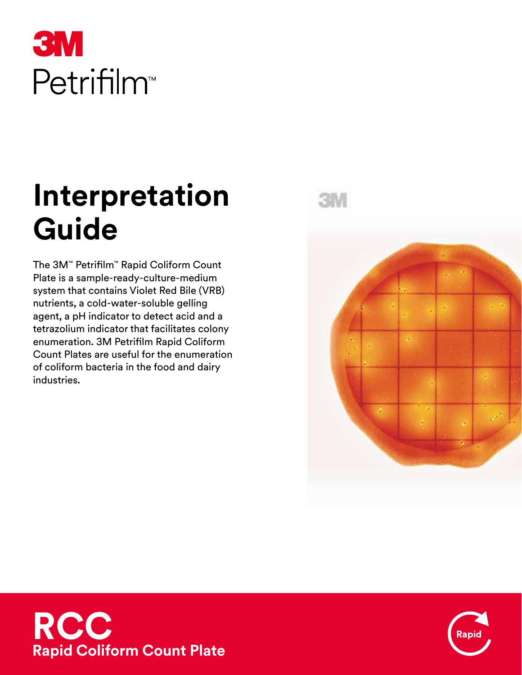

# **Interpretation Guide**

The 3M™ Petrifilm™ Rapid Coliform Count Plate is a sample-ready-culture-medium system that contains Violet Red Bile (VRB) nutrients, a cold-water-soluble gelling agent, a pH indicator to detect acid and a tetrazolium indicator that facilitates colony enumeration. 3M Petrifilm Rapid Coliform Count Plates are useful for the enumeration of coliform bacteria in the food and dairy industries.

3MW





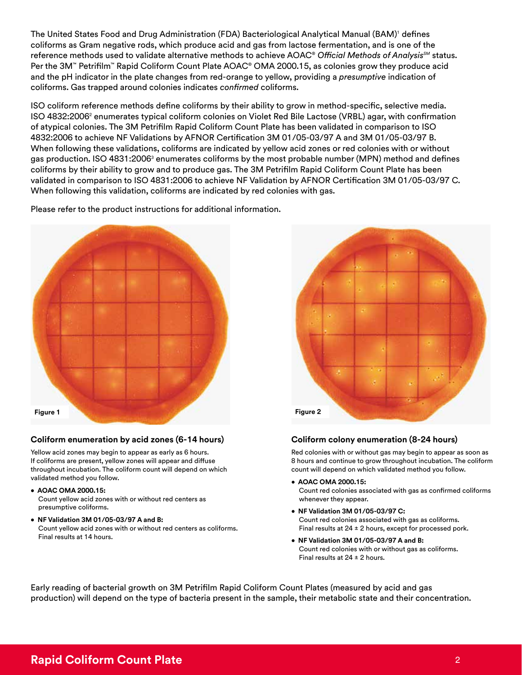The United States Food and Drug Administration (FDA) Bacteriological Analytical Manual (BAM)' defines coliforms as Gram negative rods, which produce acid and gas from lactose fermentation, and is one of the reference methods used to validate alternative methods to achieve AOAC® *Official Methods of AnalysisSM* status. Per the 3M™ Petrifilm™ Rapid Coliform Count Plate AOAC® OMA 2000.15, as colonies grow they produce acid and the pH indicator in the plate changes from red-orange to yellow, providing a *presumptive* indication of coliforms. Gas trapped around colonies indicates *confirmed* coliforms.

ISO coliform reference methods define coliforms by their ability to grow in method-specific, selective media. ISO 4832:2006 $^{\circ}$  enumerates typical coliform colonies on Violet Red Bile Lactose (VRBL) agar, with confirmation of atypical colonies. The 3M Petrifilm Rapid Coliform Count Plate has been validated in comparison to ISO 4832:2006 to achieve NF Validations by AFNOR Certification 3M 01/05-03/97 A and 3M 01/05-03/97 B. When following these validations, coliforms are indicated by yellow acid zones or red colonies with or without gas production. ISO 4831:2006 $^{\circ}$  enumerates coliforms by the most probable number (MPN) method and defines coliforms by their ability to grow and to produce gas. The 3M Petrifilm Rapid Coliform Count Plate has been validated in comparison to ISO 4831:2006 to achieve NF Validation by AFNOR Certification 3M 01/05-03/97 C. When following this validation, coliforms are indicated by red colonies with gas.

Please refer to the product instructions for additional information.



### **Coliform enumeration by acid zones (6-14 hours)**

Yellow acid zones may begin to appear as early as 6 hours. If coliforms are present, yellow zones will appear and diffuse throughout incubation. The coliform count will depend on which validated method you follow.

- **AOAC OMA 2000.15:** Count yellow acid zones with or without red centers as presumptive coliforms.
- **NF Validation 3M 01/05-03/97 A and B:** Count yellow acid zones with or without red centers as coliforms. Final results at 14 hours.



#### **Coliform colony enumeration (8-24 hours)**

Red colonies with or without gas may begin to appear as soon as 8 hours and continue to grow throughout incubation. The coliform count will depend on which validated method you follow.

- **AOAC OMA 2000.15:** Count red colonies associated with gas as confirmed coliforms whenever they appear.
- **NF Validation 3M 01/05-03/97 C:** Count red colonies associated with gas as coliforms. Final results at  $24 \pm 2$  hours, except for processed pork.
- **NF Validation 3M 01/05-03/97 A and B:** Count red colonies with or without gas as coliforms. Final results at  $24 \pm 2$  hours.

Early reading of bacterial growth on 3M Petrifilm Rapid Coliform Count Plates (measured by acid and gas production) will depend on the type of bacteria present in the sample, their metabolic state and their concentration.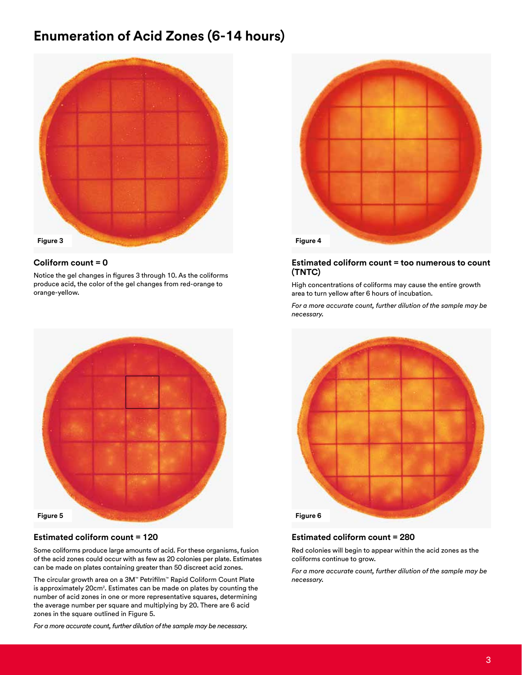# **Enumeration of Acid Zones (6-14 hours)**



#### **Coliform count = 0**

Notice the gel changes in figures 3 through 10. As the coliforms produce acid, the color of the gel changes from red-orange to orange-yellow.



#### **Estimated coliform count = 120**

Some coliforms produce large amounts of acid. For these organisms, fusion of the acid zones could occur with as few as 20 colonies per plate. Estimates can be made on plates containing greater than 50 discreet acid zones.

The circular growth area on a 3M™ Petrifilm™ Rapid Coliform Count Plate is approximately 20cm<sup>2</sup>. Estimates can be made on plates by counting the number of acid zones in one or more representative squares, determining the average number per square and multiplying by 20. There are 6 acid zones in the square outlined in Figure 5.

*For a more accurate count, further dilution of the sample may be necessary.*



#### **Estimated coliform count = too numerous to count (TNTC)**

High concentrations of coliforms may cause the entire growth area to turn yellow after 6 hours of incubation.

*For a more accurate count, further dilution of the sample may be necessary.*



#### **Estimated coliform count = 280**

Red colonies will begin to appear within the acid zones as the coliforms continue to grow.

*For a more accurate count, further dilution of the sample may be necessary.*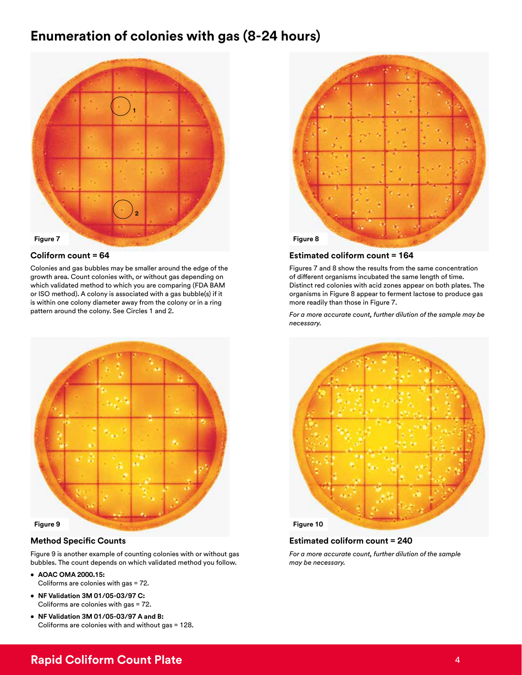# **Enumeration of colonies with gas (8-24 hours)**



#### **Coliform count = 64**

Colonies and gas bubbles may be smaller around the edge of the growth area. Count colonies with, or without gas depending on which validated method to which you are comparing (FDA BAM or ISO method). A colony is associated with a gas bubble(s) if it is within one colony diameter away from the colony or in a ring pattern around the colony. See Circles 1 and 2.



### **Method Specific Counts**

Figure 9 is another example of counting colonies with or without gas bubbles. The count depends on which validated method you follow.

- **• AOAC OMA 2000.15:**  Coliforms are colonies with gas = 72.
- **• NF Validation 3M 01/05-03/97 C:**  Coliforms are colonies with gas = 72.
- **• NF Validation 3M 01/05-03/97 A and B:**  Coliforms are colonies with and without gas = 128.



#### **Estimated coliform count = 164**

Figures 7 and 8 show the results from the same concentration of different organisms incubated the same length of time. Distinct red colonies with acid zones appear on both plates. The organisms in Figure 8 appear to ferment lactose to produce gas more readily than those in Figure 7.

*For a more accurate count, further dilution of the sample may be necessary.*



#### **Estimated coliform count = 240**

*For a more accurate count, further dilution of the sample may be necessary.*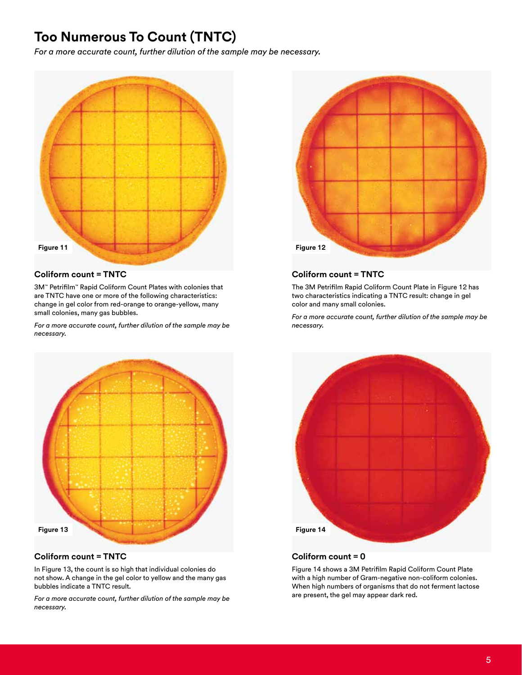# **Too Numerous To Count (TNTC)**

*For a more accurate count, further dilution of the sample may be necessary.*



#### **Coliform count = TNTC**

3M™ Petrifilm™ Rapid Coliform Count Plates with colonies that are TNTC have one or more of the following characteristics: change in gel color from red-orange to orange-yellow, many small colonies, many gas bubbles.

*For a more accurate count, further dilution of the sample may be necessary.*



# **Coliform count = TNTC**

In Figure 13, the count is so high that individual colonies do not show. A change in the gel color to yellow and the many gas bubbles indicate a TNTC result.

*For a more accurate count, further dilution of the sample may be necessary.*



## **Coliform count = TNTC**

The 3M Petrifilm Rapid Coliform Count Plate in Figure 12 has two characteristics indicating a TNTC result: change in gel color and many small colonies.

*For a more accurate count, further dilution of the sample may be necessary.*



# **Coliform count = 0**

Figure 14 shows a 3M Petrifilm Rapid Coliform Count Plate with a high number of Gram-negative non-coliform colonies. When high numbers of organisms that do not ferment lactose are present, the gel may appear dark red.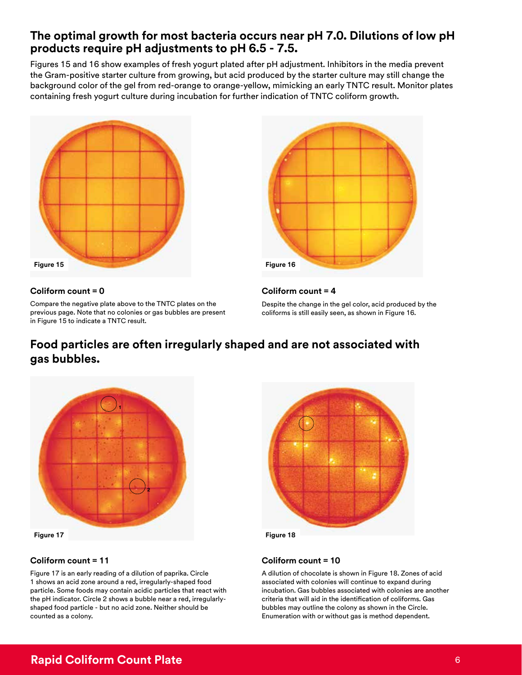# **The optimal growth for most bacteria occurs near pH 7.0. Dilutions of low pH products require pH adjustments to pH 6.5 - 7.5.**

Figures 15 and 16 show examples of fresh yogurt plated after pH adjustment. Inhibitors in the media prevent the Gram-positive starter culture from growing, but acid produced by the starter culture may still change the background color of the gel from red-orange to orange-yellow, mimicking an early TNTC result. Monitor plates containing fresh yogurt culture during incubation for further indication of TNTC coliform growth.



### **Coliform count = 0**

Compare the negative plate above to the TNTC plates on the previous page. Note that no colonies or gas bubbles are present in Figure 15 to indicate a TNTC result.



## **Coliform count = 4**

Despite the change in the gel color, acid produced by the coliforms is still easily seen, as shown in Figure 16.

# **Food particles are often irregularly shaped and are not associated with gas bubbles.**



# **Coliform count = 11**

Figure 17 is an early reading of a dilution of paprika. Circle 1 shows an acid zone around a red, irregularly-shaped food particle. Some foods may contain acidic particles that react with the pH indicator. Circle 2 shows a bubble near a red, irregularlyshaped food particle - but no acid zone. Neither should be counted as a colony.



# **Coliform count = 10**

A dilution of chocolate is shown in Figure 18. Zones of acid associated with colonies will continue to expand during incubation. Gas bubbles associated with colonies are another criteria that will aid in the identification of coliforms. Gas bubbles may outline the colony as shown in the Circle. Enumeration with or without gas is method dependent.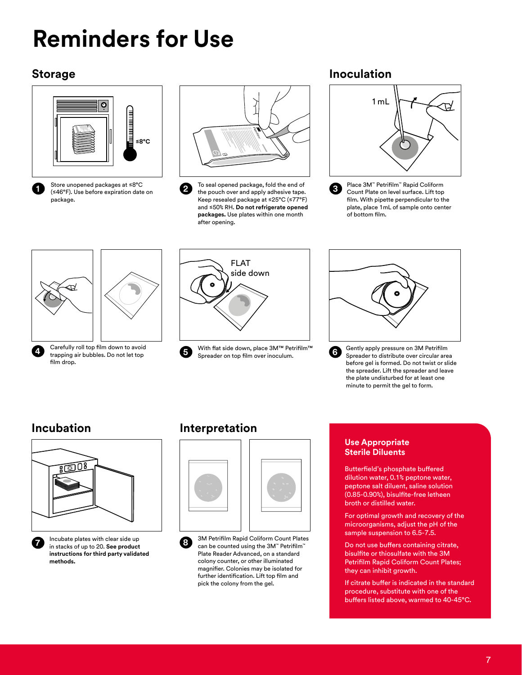# **Reminders for Use**

# **Storage**





Store unopened packages at ≤8°C (≤46°F). Use before expiration date on package.



**2 3** the pouch over and apply adhesive tape. To seal opened package, fold the end of Keep resealed package at ≤25°C (≤77°F) and ≤50% RH. **Do not refrigerate opened packages.** Use plates within one month after opening.

# **Inoculation**



Place 3M™ Petrifilm™ Rapid Coliform Count Plate on level surface. Lift top film. With pipette perpendicular to the plate, place 1mL of sample onto center of bottom film.





**5** With flat side down, place 3M™ Petrifilm™ Spreader on top film over inoculum.



**6** Gently apply pressure on 3M Petrifilm<br>Spreader to distribute over circular are Spreader to distribute over circular area before gel is formed. Do not twist or slide the spreader. Lift the spreader and leave the plate undisturbed for at least one minute to permit the gel to form.



**7** Incubate plates with clear side up in stacks of up to 20. **See product instructions for third party validated methods.**

# **Incubation Interpretation**



**8** 3M Petrifilm Rapid Coliform Count Plates can be counted using the 3M™ Petrifilm™ Plate Reader Advanced, on a standard colony counter, or other illuminated magnifier. Colonies may be isolated for further identification. Lift top film and pick the colony from the gel.

# **Use Appropriate Sterile Diluents**

Butterfield's phosphate buffered dilution water, 0.1% peptone water, peptone salt diluent, saline solution (0.85-0.90%), bisulfite-free letheen broth or distilled water.

For optimal growth and recovery of the microorganisms, adjust the pH of the sample suspension to 6.5-7.5.

Do not use buffers containing citrate, bisulfite or thiosulfate with the 3M Petrifilm Rapid Coliform Count Plates; they can inhibit growth.

If citrate buffer is indicated in the standard procedure, substitute with one of the buffers listed above, warmed to 40-45°C.